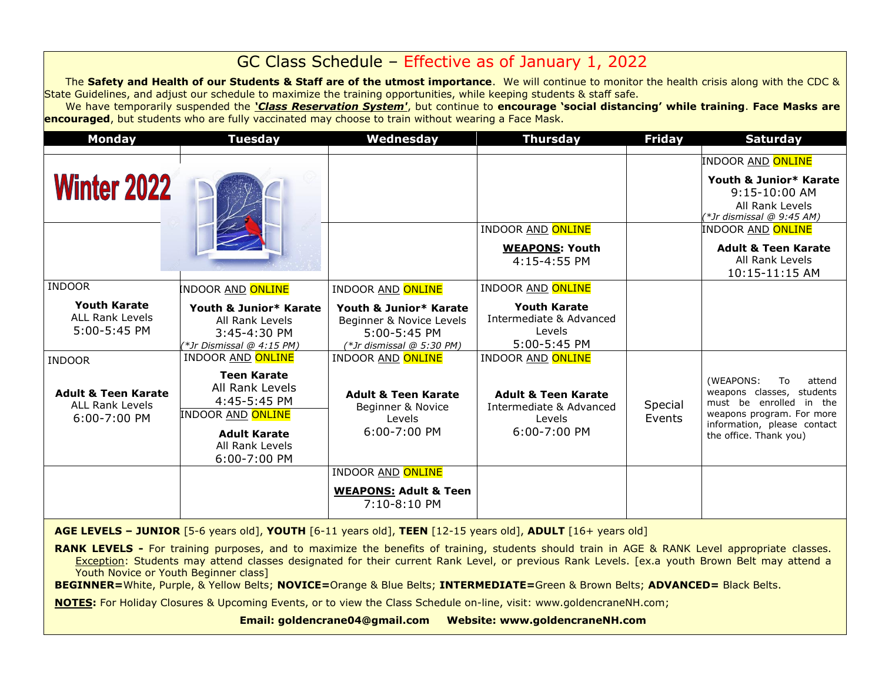# GC Class Schedule – Effective as of January 1, 2022

The **Safety and Health of our Students & Staff are of the utmost importance**. We will continue to monitor the health crisis along with the CDC & State Guidelines, and adjust our schedule to maximize the training opportunities, while keeping students & staff safe.

We have temporarily suspended the *'Class Reservation System'*, but continue to **encourage 'social distancing' while training**. **Face Masks are encouraged**, but students who are fully vaccinated may choose to train without wearing a Face Mask.

| <b>Monday</b>                                                                | <b>Tuesday</b>                                                                                                                              | Wednesday                                                                                         | <b>Thursday</b>                                                                     | <b>Friday</b>     | <b>Saturday</b>                                                                                                                                                         |
|------------------------------------------------------------------------------|---------------------------------------------------------------------------------------------------------------------------------------------|---------------------------------------------------------------------------------------------------|-------------------------------------------------------------------------------------|-------------------|-------------------------------------------------------------------------------------------------------------------------------------------------------------------------|
| <b>Winter 2022</b>                                                           |                                                                                                                                             |                                                                                                   |                                                                                     |                   | INDOOR <u>AND</u> ONLINE<br>Youth & Junior* Karate<br>9:15-10:00 AM<br>All Rank Levels<br>(*Jr dismissal @ 9:45 AM)                                                     |
|                                                                              |                                                                                                                                             |                                                                                                   | <b>INDOOR AND ONLINE</b><br><b>WEAPONS: Youth</b><br>4:15-4:55 PM                   |                   | INDOOR AND <mark>ONLINE</mark><br><b>Adult &amp; Teen Karate</b><br>All Rank Levels<br>10:15-11:15 AM                                                                   |
| <b>INDOOR</b>                                                                | INDOOR <u>AND</u> <mark>ONLINE</mark>                                                                                                       | <b>INDOOR AND ONLINE</b>                                                                          | <b>INDOOR AND ONLINE</b>                                                            |                   |                                                                                                                                                                         |
| <b>Youth Karate</b><br><b>ALL Rank Levels</b><br>5:00-5:45 PM                | Youth & Junior* Karate<br>All Rank Levels<br>3:45-4:30 PM<br>(*Jr Dismissal @ 4:15 PM)                                                      | Youth & Junior* Karate<br>Beginner & Novice Levels<br>5:00-5:45 PM<br>$(*Jr$ dismissal @ 5:30 PM) | <b>Youth Karate</b><br>Intermediate & Advanced<br>Levels<br>5:00-5:45 PM            |                   |                                                                                                                                                                         |
| <b>INDOOR</b>                                                                | <b>INDOOR AND ONLINE</b>                                                                                                                    | <b>INDOOR AND ONLINE</b>                                                                          | <b>INDOOR AND ONLINE</b>                                                            |                   |                                                                                                                                                                         |
| <b>Adult &amp; Teen Karate</b><br><b>ALL Rank Levels</b><br>$6:00 - 7:00$ PM | <b>Teen Karate</b><br>All Rank Levels<br>4:45-5:45 PM<br><b>INDOOR AND ONLINE</b><br><b>Adult Karate</b><br>All Rank Levels<br>6:00-7:00 PM | <b>Adult &amp; Teen Karate</b><br>Beginner & Novice<br>Levels<br>$6:00 - 7:00$ PM                 | <b>Adult &amp; Teen Karate</b><br>Intermediate & Advanced<br>Levels<br>6:00-7:00 PM | Special<br>Events | (WEAPONS:<br>attend<br>To<br>weapons classes, students<br>must be enrolled in the<br>weapons program. For more<br>information, please contact<br>the office. Thank you) |
|                                                                              |                                                                                                                                             | <b>INDOOR AND ONLINE</b>                                                                          |                                                                                     |                   |                                                                                                                                                                         |
|                                                                              |                                                                                                                                             | <b>WEAPONS: Adult &amp; Teen</b><br>7:10-8:10 PM                                                  |                                                                                     |                   |                                                                                                                                                                         |

**AGE LEVELS – JUNIOR** [5-6 years old], **YOUTH** [6-11 years old], **TEEN** [12-15 years old], **ADULT** [16+ years old]

**RANK LEVELS** - For training purposes, and to maximize the benefits of training, students should train in AGE & RANK Level appropriate classes. Exception: Students may attend classes designated for their current Rank Level, or previous Rank Levels. [ex.a youth Brown Belt may attend a Youth Novice or Youth Beginner class]

**BEGINNER=**White, Purple, & Yellow Belts; **NOVICE=**Orange & Blue Belts; **INTERMEDIATE=**Green & Brown Belts; **ADVANCED=** Black Belts.

**NOTES:** For Holiday Closures & Upcoming Events, or to view the Class Schedule on-line, visit: www.goldencraneNH.com;

**Email: goldencrane04@gmail.com Website: www.goldencraneNH.com**